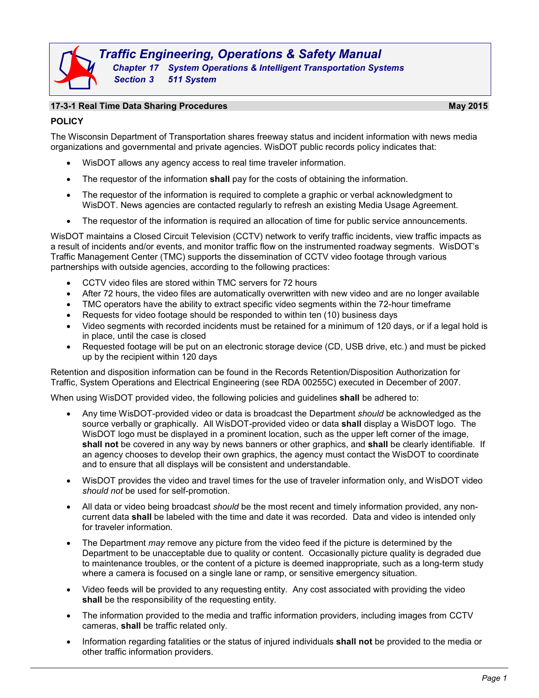# **17-3-1 Real Time Data Sharing Procedures May 2015**

**POLICY**

The Wisconsin Department of Transportation shares freeway status and incident information with news media organizations and governmental and private agencies. WisDOT public records policy indicates that:

- WisDOT allows any agency access to real time traveler information.
- The requestor of the information **shall** pay for the costs of obtaining the information.
- The requestor of the information is required to complete a graphic or verbal acknowledgment to WisDOT. News agencies are contacted regularly to refresh an existing Media Usage Agreement.
- The requestor of the information is required an allocation of time for public service announcements.

WisDOT maintains a Closed Circuit Television (CCTV) network to verify traffic incidents, view traffic impacts as a result of incidents and/or events, and monitor traffic flow on the instrumented roadway segments. WisDOT's Traffic Management Center (TMC) supports the dissemination of CCTV video footage through various partnerships with outside agencies, according to the following practices:

- CCTV video files are stored within TMC servers for 72 hours
- After 72 hours, the video files are automatically overwritten with new video and are no longer available
- TMC operators have the ability to extract specific video segments within the 72-hour timeframe
- Requests for video footage should be responded to within ten (10) business days
- Video segments with recorded incidents must be retained for a minimum of 120 days, or if a legal hold is in place, until the case is closed
- Requested footage will be put on an electronic storage device (CD, USB drive, etc.) and must be picked up by the recipient within 120 days

Retention and disposition information can be found in the Records Retention/Disposition Authorization for Traffic, System Operations and Electrical Engineering (see RDA 00255C) executed in December of 2007.

When using WisDOT provided video, the following policies and guidelines **shall** be adhered to:

- Any time WisDOT-provided video or data is broadcast the Department *should* be acknowledged as the source verbally or graphically. All WisDOT-provided video or data **shall** display a WisDOT logo. The WisDOT logo must be displayed in a prominent location, such as the upper left corner of the image, **shall not** be covered in any way by news banners or other graphics, and **shall** be clearly identifiable. If an agency chooses to develop their own graphics, the agency must contact the WisDOT to coordinate and to ensure that all displays will be consistent and understandable.
- WisDOT provides the video and travel times for the use of traveler information only, and WisDOT video *should not* be used for self-promotion.
- All data or video being broadcast *should* be the most recent and timely information provided, any noncurrent data **shall** be labeled with the time and date it was recorded. Data and video is intended only for traveler information.
- The Department *may* remove any picture from the video feed if the picture is determined by the Department to be unacceptable due to quality or content. Occasionally picture quality is degraded due to maintenance troubles, or the content of a picture is deemed inappropriate, such as a long-term study where a camera is focused on a single lane or ramp, or sensitive emergency situation.
- Video feeds will be provided to any requesting entity. Any cost associated with providing the video **shall** be the responsibility of the requesting entity.
- The information provided to the media and traffic information providers, including images from CCTV cameras, **shall** be traffic related only.
- Information regarding fatalities or the status of injured individuals **shall not** be provided to the media or other traffic information providers.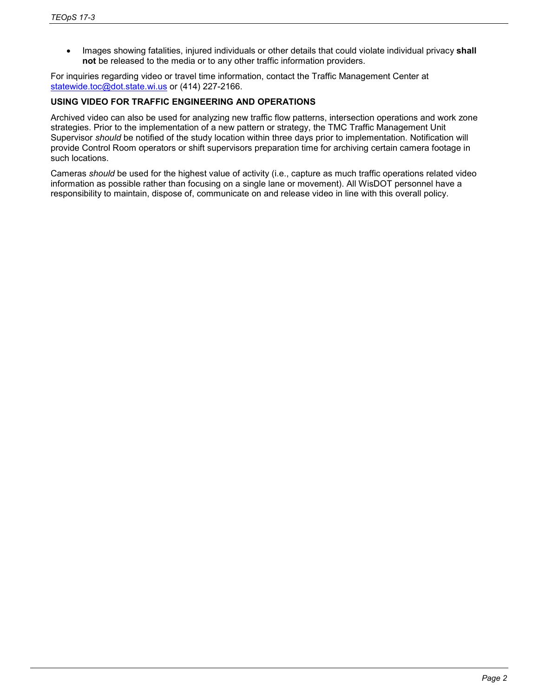• Images showing fatalities, injured individuals or other details that could violate individual privacy **shall not** be released to the media or to any other traffic information providers.

For inquiries regarding video or travel time information, contact the Traffic Management Center at [statewide.toc@dot.state.wi.us](mailto:statewide.toc@dot.state.wi.us) or (414) 227-2166.

## **USING VIDEO FOR TRAFFIC ENGINEERING AND OPERATIONS**

Archived video can also be used for analyzing new traffic flow patterns, intersection operations and work zone strategies. Prior to the implementation of a new pattern or strategy, the TMC Traffic Management Unit Supervisor *should* be notified of the study location within three days prior to implementation. Notification will provide Control Room operators or shift supervisors preparation time for archiving certain camera footage in such locations.

Cameras *should* be used for the highest value of activity (i.e., capture as much traffic operations related video information as possible rather than focusing on a single lane or movement). All WisDOT personnel have a responsibility to maintain, dispose of, communicate on and release video in line with this overall policy.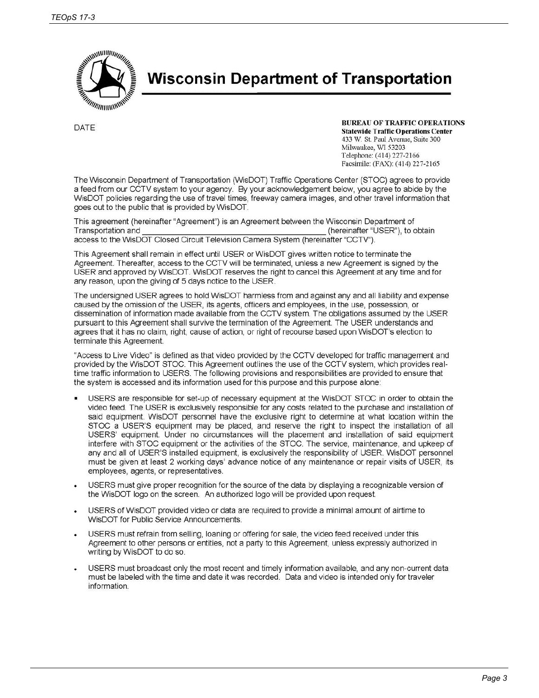

**Wisconsin Department of Transportation** 

**DATE** 

**BUREAU OF TRAFFIC OPERATIONS Statewide Traffic Operations Center** 

433 W. St. Paul Avenue, Suite 300 Milwaukee, WI 53203 Telephone: (414) 227-2166 Facsimile: (FAX): (414) 227-2165

The Wisconsin Department of Transportation (WisDOT) Traffic Operations Center (STOC) agrees to provide a feed from our CCTV system to your agency. By your acknowledgement below, you agree to abide by the WisDOT policies regarding the use of travel times, freeway camera images, and other travel information that goes out to the public that is provided by WisDOT.

This agreement (hereinafter "Agreement") is an Agreement between the Wisconsin Department of Transportation and (hereinafter "USER"), to obtain access to the WisDOT Closed Circuit Television Camera System (hereinafter "CCTV").

This Agreement shall remain in effect until USER or WisDOT gives written notice to terminate the Agreement. Thereafter, access to the CCTV will be terminated, unless a new Agreement is signed by the USER and approved by WisDOT. WisDOT reserves the right to cancel this Agreement at any time and for any reason, upon the giving of 5 days notice to the USER.

The undersigned USER agrees to hold WisDOT harmless from and against any and all liability and expense caused by the omission of the USER, its agents, officers and employees, in the use, possession, or dissemination of information made available from the CCTV system. The obligations assumed by the USER pursuant to this Agreement shall survive the termination of the Agreement. The USER understands and agrees that it has no claim, right, cause of action, or right of recourse based upon WisDOT's election to terminate this Agreement.

"Access to Live Video" is defined as that video provided by the CCTV developed for traffic management and provided by the WisDOT STOC. This Agreement outlines the use of the CCTV system, which provides realtime traffic information to USERS. The following provisions and responsibilities are provided to ensure that the system is accessed and its information used for this purpose and this purpose alone:

- USERS are responsible for set-up of necessary equipment at the WisDOT STOC in order to obtain the video feed. The USER is exclusively responsible for any costs related to the purchase and installation of said equipment. WisDOT personnel have the exclusive right to determine at what location within the STOC a USER'S equipment may be placed, and reserve the right to inspect the installation of all USERS' equipment. Under no circumstances will the placement and installation of said equipment interfere with STOC equipment or the activities of the STOC. The service, maintenance, and upkeep of any and all of USER'S installed equipment, is exclusively the responsibility of USER. WisDOT personnel must be given at least 2 working days' advance notice of any maintenance or repair visits of USER, its employees, agents, or representatives.
- USERS must give proper recognition for the source of the data by displaying a recognizable version of the WisDOT logo on the screen. An authorized logo will be provided upon request.
- USERS of WisDOT provided video or data are required to provide a minimal amount of airtime to WisDOT for Public Service Announcements.
- USERS must refrain from selling, loaning or offering for sale, the video feed received under this Agreement to other persons or entities, not a party to this Agreement, unless expressly authorized in writing by WisDOT to do so.
- USERS must broadcast only the most recent and timely information available, and any non-current data must be labeled with the time and date it was recorded. Data and video is intended only for traveler information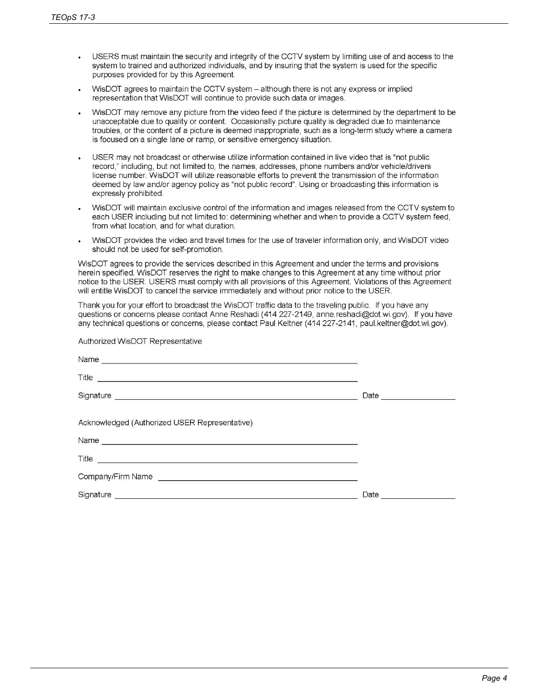Authorized WisDOT Representative

- USERS must maintain the security and integrity of the CCTV system by limiting use of and access to the system to trained and authorized individuals, and by insuring that the system is used for the specific purposes provided for by this Agreement.
- WisDOT agrees to maintain the CCTV system although there is not any express or implied representation that WisDOT will continue to provide such data or images.
- WisDOT may remove any picture from the video feed if the picture is determined by the department to be unacceptable due to quality or content. Occasionally picture quality is degraded due to maintenance troubles, or the content of a picture is deemed inappropriate, such as a long-term study where a camera is focused on a single lane or ramp, or sensitive emergency situation.
- USER may not broadcast or otherwise utilize information contained in live video that is "not public record," including, but not limited to, the names, addresses, phone numbers and/or vehicle/drivers license number. WisDOT will utilize reasonable efforts to prevent the transmission of the information deemed by law and/or agency policy as "not public record". Using or broadcasting this information is expressly prohibited.
- WisDOT will maintain exclusive control of the information and images released from the CCTV system to each USER including but not limited to: determining whether and when to provide a CCTV system feed. from what location, and for what duration.
- WisDOT provides the video and travel times for the use of traveler information only, and WisDOT video should not be used for self-promotion.

WisDOT agrees to provide the services described in this Agreement and under the terms and provisions herein specified. WisDOT reserves the right to make changes to this Agreement at any time without prior notice to the USER. USERS must comply with all provisions of this Agreement. Violations of this Agreement will entitle WisDOT to cancel the service immediately and without prior notice to the USER.

Thank you for your effort to broadcast the WisDOT traffic data to the traveling public. If you have any questions or concerns please contact Anne Reshadi (414 227-2149, anne reshadi@dot.wi.gov). If you have any technical questions or concerns, please contact Paul Keltner (414 227-2141, paul.keltner@dot.wi.gov).

| Signature <b>Commission Commission Commission</b> | Date _______________ |
|---------------------------------------------------|----------------------|
| Acknowledged (Authorized USER Representative)     |                      |
|                                                   |                      |
|                                                   |                      |
|                                                   |                      |
|                                                   | Date ___________     |